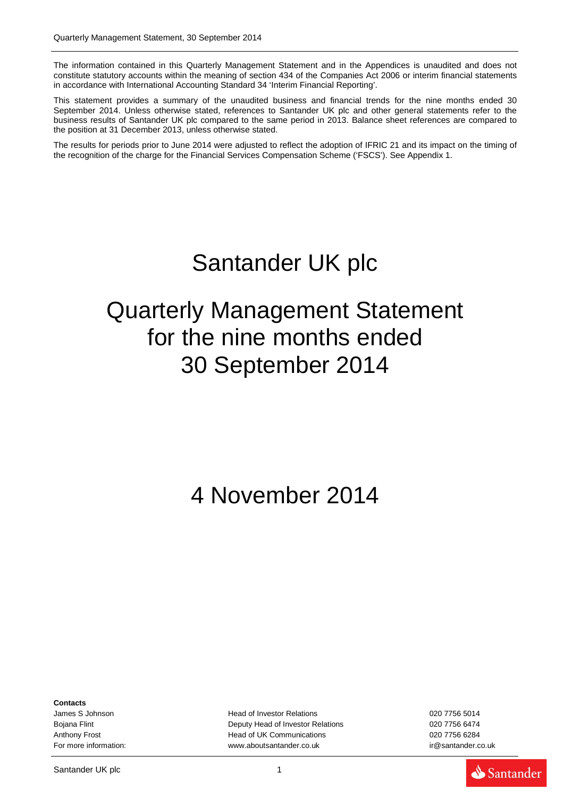The information contained in this Quarterly Management Statement and in the Appendices is unaudited and does not constitute statutory accounts within the meaning of section 434 of the Companies Act 2006 or interim financial statements in accordance with International Accounting Standard 34 'Interim Financial Reporting'.

This statement provides a summary of the unaudited business and financial trends for the nine months ended 30 September 2014. Unless otherwise stated, references to Santander UK plc and other general statements refer to the business results of Santander UK plc compared to the same period in 2013. Balance sheet references are compared to the position at 31 December 2013, unless otherwise stated.

The results for periods prior to June 2014 were adjusted to reflect the adoption of IFRIC 21 and its impact on the timing of the recognition of the charge for the Financial Services Compensation Scheme ('FSCS'). See Appendix 1.

# Santander UK plc

## Quarterly Management Statement for the nine months ended 30 September 2014

## 4 November 2014

**Contacts**

James S Johnson Head of Investor Relations 020 7756 5014 Bojana Flint Deputy Head of Investor Relations 020 7756 6474 Anthony Frost **Head of UK Communications Head of UK Communications** 620 7756 6284 For more information: example and the state of the [www.aboutsantander.co.uk](http://www.aboutsantander.co.uk/) in the santander.co.uk [ir@santander.co.uk](mailto:ir@santander.co.uk)

Santander UK plc 1 and 1 and 1 and 1 and 1 and 1 and 1 and 1 and 1 and 1 and 1 and 1 and 1 and 1 and 1 and 1 and 1 and 1 and 1 and 1 and 1 and 1 and 1 and 1 and 1 and 1 and 1 and 1 and 1 and 1 and 1 and 1 and 1 and 1 and 1

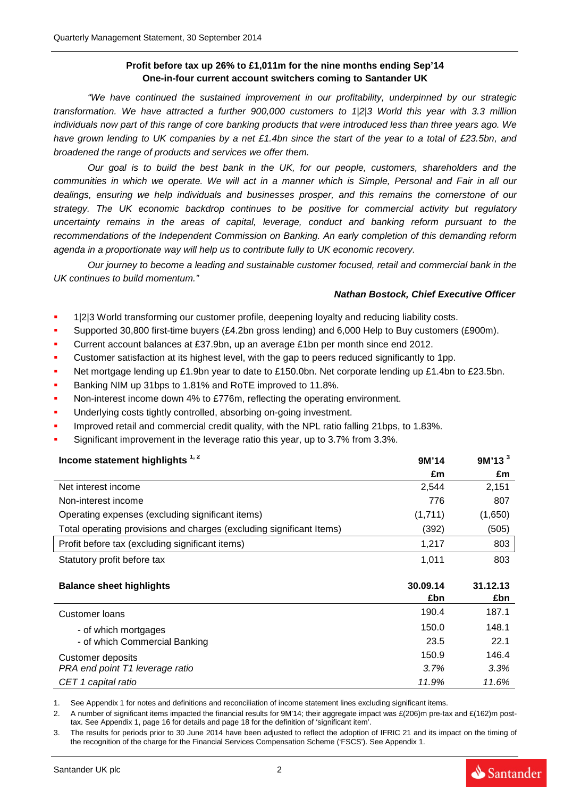## **Profit before tax up 26% to £1,011m for the nine months ending Sep'14 One-in-four current account switchers coming to Santander UK**

*"We have continued the sustained improvement in our profitability, underpinned by our strategic transformation. We have attracted a further 900,000 customers to 1|2|3 World this year with 3.3 million individuals now part of this range of core banking products that were introduced less than three years ago. We have grown lending to UK companies by a net £1.4bn since the start of the year to a total of £23.5bn, and broadened the range of products and services we offer them.*

*Our goal is to build the best bank in the UK, for our people, customers, shareholders and the communities in which we operate. We will act in a manner which is Simple, Personal and Fair in all our dealings, ensuring we help individuals and businesses prosper, and this remains the cornerstone of our strategy. The UK economic backdrop continues to be positive for commercial activity but regulatory uncertainty remains in the areas of capital, leverage, conduct and banking reform pursuant to the recommendations of the Independent Commission on Banking. An early completion of this demanding reform agenda in a proportionate way will help us to contribute fully to UK economic recovery.*

*Our journey to become a leading and sustainable customer focused, retail and commercial bank in the UK continues to build momentum."* 

#### *Nathan Bostock, Chief Executive Officer*

Santander

- 1|2|3 World transforming our customer profile, deepening loyalty and reducing liability costs.
- Supported 30,800 first-time buyers (£4.2bn gross lending) and 6,000 Help to Buy customers (£900m).
- Current account balances at £37.9bn, up an average £1bn per month since end 2012.
- Customer satisfaction at its highest level, with the gap to peers reduced significantly to 1pp.
- Net mortgage lending up £1.9bn year to date to £150.0bn. Net corporate lending up £1.4bn to £23.5bn.
- Banking NIM up 31bps to 1.81% and RoTE improved to 11.8%.
- Non-interest income down 4% to £776m, reflecting the operating environment.
- Underlying costs tightly controlled, absorbing on-going investment.
- Improved retail and commercial credit quality, with the NPL ratio falling 21bps, to 1.83%.
- Significant improvement in the leverage ratio this year, up to 3.7% from 3.3%.

| Income statement highlights <sup>1,2</sup>                           | 9M'14           | 9M'13 <sup>3</sup> |
|----------------------------------------------------------------------|-----------------|--------------------|
|                                                                      | £m              | £m                 |
| Net interest income                                                  | 2,544           | 2,151              |
| Non-interest income                                                  | 776             | 807                |
| Operating expenses (excluding significant items)                     | (1,711)         | (1,650)            |
| Total operating provisions and charges (excluding significant Items) | (392)           | (505)              |
| Profit before tax (excluding significant items)                      | 1,217           | 803                |
| Statutory profit before tax                                          | 1,011           | 803                |
| <b>Balance sheet highlights</b>                                      | 30.09.14<br>£bn | 31.12.13<br>£bn    |
| Customer Ioans                                                       | 190.4           | 187.1              |
| - of which mortgages                                                 | 150.0           | 148.1              |
| - of which Commercial Banking                                        | 23.5            | 22.1               |
| <b>Customer deposits</b>                                             | 150.9           | 146.4              |
| PRA end point T1 leverage ratio                                      | 3.7%            | 3.3%               |

*CET 1 capital ratio 11.9% 11.6%*

1. See Appendix 1 for notes and definitions and reconciliation of income statement lines excluding significant items.

2. A number of significant items impacted the financial results for 9M'14; their aggregate impact was £(206)m pre-tax and £(162)m posttax. See Appendix 1, page 16 for details and page 18 for the definition of 'significant item'.

3. The results for periods prior to 30 June 2014 have been adjusted to reflect the adoption of IFRIC 21 and its impact on the timing of the recognition of the charge for the Financial Services Compensation Scheme ('FSCS'). See Appendix 1.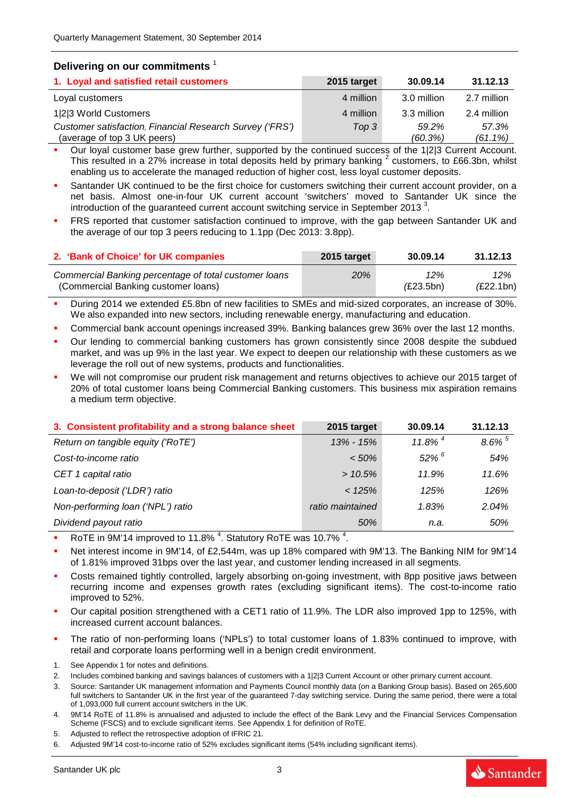### **Delivering on our commitments** <sup>1</sup>

| 1. Loyal and satisfied retail customers                                                 | 2015 target | 30.09.14         | 31.12.13            |
|-----------------------------------------------------------------------------------------|-------------|------------------|---------------------|
| Loyal customers                                                                         | 4 million   | 3.0 million      | 2.7 million         |
| 1 2 3 World Customers                                                                   | 4 million   | 3.3 million      | 2.4 million         |
| Customer satisfaction, Financial Research Survey ('FRS')<br>(average of top 3 UK peers) | Top 3       | 59.2%<br>(60.3%) | 57.3%<br>$(61.1\%)$ |

 Our loyal customer base grew further, supported by the continued success of the 1|2|3 Current Account. This resulted in a 27% increase in total deposits held by primary banking <sup>2</sup> customers, to £66.3bn, whilst enabling us to accelerate the managed reduction of higher cost, less loyal customer deposits.

- Santander UK continued to be the first choice for customers switching their current account provider, on a net basis. Almost one-in-four UK current account 'switchers' moved to Santander UK since the introduction of the guaranteed current account switching service in September 2013<sup>3</sup>.
- FRS reported that customer satisfaction continued to improve, with the gap between Santander UK and the average of our top 3 peers reducing to 1.1pp (Dec 2013: 3.8pp).

| 2. 'Bank of Choice' for UK companies                  | 2015 target | 30.09.14  | 31.12.13  |
|-------------------------------------------------------|-------------|-----------|-----------|
| Commercial Banking percentage of total customer loans | <b>20%</b>  | 12%       | 12%       |
| (Commercial Banking customer loans)                   |             | (E23.5bn) | (E22.1bn) |

 During 2014 we extended £5.8bn of new facilities to SMEs and mid-sized corporates, an increase of 30%. We also expanded into new sectors, including renewable energy, manufacturing and education.

- Commercial bank account openings increased 39%. Banking balances grew 36% over the last 12 months.
- Our lending to commercial banking customers has grown consistently since 2008 despite the subdued market, and was up 9% in the last year. We expect to deepen our relationship with these customers as we leverage the roll out of new systems, products and functionalities.
- We will not compromise our prudent risk management and returns objectives to achieve our 2015 target of 20% of total customer loans being Commercial Banking customers. This business mix aspiration remains a medium term objective.

| 3. Consistent profitability and a strong balance sheet | 2015 target      | 30.09.14              | 31.12.13             |
|--------------------------------------------------------|------------------|-----------------------|----------------------|
| Return on tangible equity ('RoTE')                     | $13\% - 15\%$    | $11.8\%$ <sup>4</sup> | $8.6\%$ <sup>5</sup> |
| Cost-to-income ratio                                   | $< 50\%$         | $52\%$ <sup>6</sup>   | 54%                  |
| CET 1 capital ratio                                    | >10.5%           | 11.9%                 | 11.6%                |
| Loan-to-deposit ('LDR') ratio                          | < 125%           | 125%                  | 126%                 |
| Non-performing loan ('NPL') ratio                      | ratio maintained | 1.83%                 | 2.04%                |
| Dividend payout ratio                                  | 50%              | n.a.                  | 50%                  |

RoTE in 9M'14 improved to 11.8%  $^4$ . Statutory RoTE was 10.7%  $^4$ .

 Net interest income in 9M'14, of £2,544m, was up 18% compared with 9M'13. The Banking NIM for 9M'14 of 1.81% improved 31bps over the last year, and customer lending increased in all segments.

- Costs remained tightly controlled, largely absorbing on-going investment, with 8pp positive jaws between recurring income and expenses growth rates (excluding significant items). The cost-to-income ratio improved to 52%.
- Our capital position strengthened with a CET1 ratio of 11.9%. The LDR also improved 1pp to 125%, with increased current account balances.
- The ratio of non-performing loans ('NPLs') to total customer loans of 1.83% continued to improve, with retail and corporate loans performing well in a benign credit environment.
- 1. See Appendix 1 for notes and definitions.
- 2. Includes combined banking and savings balances of customers with a 1|2|3 Current Account or other primary current account.
- 3. Source: Santander UK management information and Payments Council monthly data (on a Banking Group basis). Based on 265,600 full switchers to Santander UK in the first year of the guaranteed 7-day switching service. During the same period, there were a total of 1,093,000 full current account switchers in the UK.
- 4. 9M'14 RoTE of 11.8% is annualised and adjusted to include the effect of the Bank Levy and the Financial Services Compensation Scheme (FSCS) and to exclude significant items. See Appendix 1 for definition of RoTE.
- 5. Adjusted to reflect the retrospective adoption of IFRIC 21.

```
6. Adjusted 9M'14 cost-to-income ratio of 52% excludes significant items (54% including significant items).
```
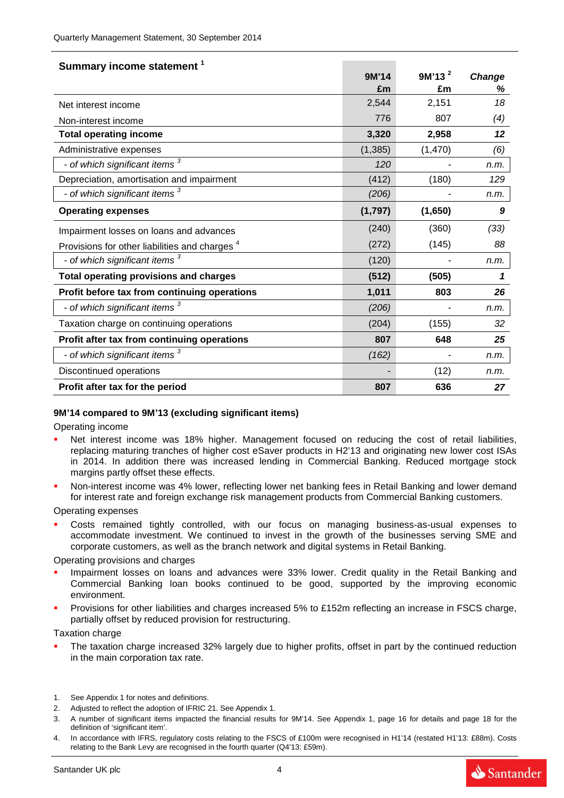| Summary income statement <sup>1</sup>                     |          |                    |               |
|-----------------------------------------------------------|----------|--------------------|---------------|
|                                                           | 9M'14    | 9M'13 <sup>2</sup> | <b>Change</b> |
|                                                           | £m       | £m                 | %             |
| Net interest income                                       | 2,544    | 2,151              | 18            |
| Non-interest income                                       | 776      | 807                | (4)           |
| <b>Total operating income</b>                             | 3,320    | 2,958              | 12            |
| Administrative expenses                                   | (1, 385) | (1, 470)           | (6)           |
| - of which significant items 3                            | 120      |                    | n.m.          |
| Depreciation, amortisation and impairment                 | (412)    | (180)              | 129           |
| - of which significant items <sup>3</sup>                 | (206)    |                    | n.m.          |
| <b>Operating expenses</b>                                 | (1,797)  | (1,650)            | 9             |
| Impairment losses on loans and advances                   | (240)    | (360)              | (33)          |
| Provisions for other liabilities and charges <sup>4</sup> | (272)    | (145)              | 88            |
| - of which significant items <sup>3</sup>                 | (120)    |                    | n.m.          |
| <b>Total operating provisions and charges</b>             | (512)    | (505)              | 1             |
| Profit before tax from continuing operations              | 1,011    | 803                | 26            |
| - of which significant items <sup>3</sup>                 | (206)    |                    | n.m.          |
| Taxation charge on continuing operations                  | (204)    | (155)              | 32            |
| Profit after tax from continuing operations               | 807      | 648                | 25            |
| - of which significant items <sup>3</sup>                 | (162)    |                    | n.m.          |
| Discontinued operations                                   |          | (12)               | n.m.          |
| Profit after tax for the period                           | 807      | 636                | 27            |

#### **9M'14 compared to 9M'13 (excluding significant items)**

Operating income

- Net interest income was 18% higher. Management focused on reducing the cost of retail liabilities, replacing maturing tranches of higher cost eSaver products in H2'13 and originating new lower cost ISAs in 2014. In addition there was increased lending in Commercial Banking. Reduced mortgage stock margins partly offset these effects.
- Non-interest income was 4% lower, reflecting lower net banking fees in Retail Banking and lower demand for interest rate and foreign exchange risk management products from Commercial Banking customers.

Operating expenses

 Costs remained tightly controlled, with our focus on managing business-as-usual expenses to accommodate investment. We continued to invest in the growth of the businesses serving SME and corporate customers, as well as the branch network and digital systems in Retail Banking.

Operating provisions and charges

- Impairment losses on loans and advances were 33% lower. Credit quality in the Retail Banking and Commercial Banking loan books continued to be good, supported by the improving economic environment.
- Provisions for other liabilities and charges increased 5% to £152m reflecting an increase in FSCS charge, partially offset by reduced provision for restructuring.

Taxation charge

 The taxation charge increased 32% largely due to higher profits, offset in part by the continued reduction in the main corporation tax rate.

Santander

<sup>1.</sup> See Appendix 1 for notes and definitions.

<sup>2.</sup> Adjusted to reflect the adoption of IFRIC 21. See Appendix 1.

<sup>3.</sup> A number of significant items impacted the financial results for 9M'14. See Appendix 1, page 16 for details and page 18 for the definition of 'significant item'.

<sup>4.</sup> In accordance with IFRS, regulatory costs relating to the FSCS of £100m were recognised in H1'14 (restated H1'13: £88m). Costs relating to the Bank Levy are recognised in the fourth quarter (Q4'13: £59m).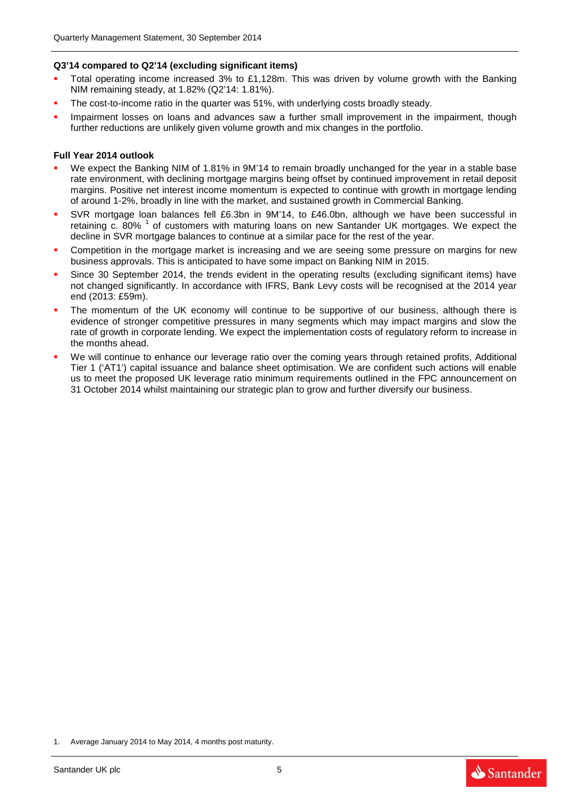### **Q3'14 compared to Q2'14 (excluding significant items)**

- Total operating income increased 3% to £1,128m. This was driven by volume growth with the Banking NIM remaining steady, at 1.82% (Q2'14: 1.81%).
- The cost-to-income ratio in the quarter was 51%, with underlying costs broadly steady.
- Impairment losses on loans and advances saw a further small improvement in the impairment, though further reductions are unlikely given volume growth and mix changes in the portfolio.

#### **Full Year 2014 outlook**

- We expect the Banking NIM of 1.81% in 9M'14 to remain broadly unchanged for the year in a stable base rate environment, with declining mortgage margins being offset by continued improvement in retail deposit margins. Positive net interest income momentum is expected to continue with growth in mortgage lending of around 1-2%, broadly in line with the market, and sustained growth in Commercial Banking.
- SVR mortgage loan balances fell £6.3bn in 9M'14, to £46.0bn, although we have been successful in retaining c. 80%  $1$  of customers with maturing loans on new Santander UK mortgages. We expect the decline in SVR mortgage balances to continue at a similar pace for the rest of the year.
- Competition in the mortgage market is increasing and we are seeing some pressure on margins for new business approvals. This is anticipated to have some impact on Banking NIM in 2015.
- Since 30 September 2014, the trends evident in the operating results (excluding significant items) have not changed significantly. In accordance with IFRS, Bank Levy costs will be recognised at the 2014 year end (2013: £59m).
- The momentum of the UK economy will continue to be supportive of our business, although there is evidence of stronger competitive pressures in many segments which may impact margins and slow the rate of growth in corporate lending. We expect the implementation costs of regulatory reform to increase in the months ahead.
- We will continue to enhance our leverage ratio over the coming years through retained profits, Additional Tier 1 ('AT1') capital issuance and balance sheet optimisation. We are confident such actions will enable us to meet the proposed UK leverage ratio minimum requirements outlined in the FPC announcement on 31 October 2014 whilst maintaining our strategic plan to grow and further diversify our business.





<sup>1.</sup> Average January 2014 to May 2014, 4 months post maturity.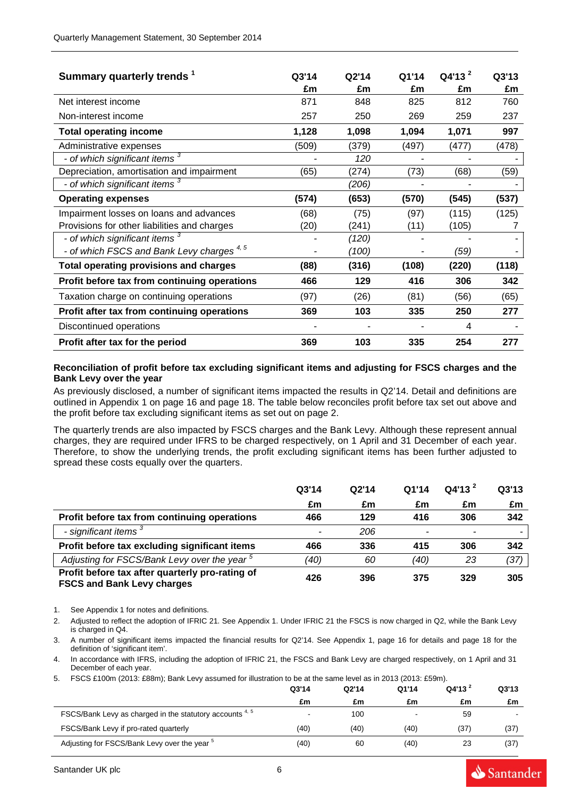| Summary quarterly trends <sup>1</sup>                | Q3'14<br>£m | Q2'14<br>£m | Q1'14<br>£m | $Q4'13^2$<br>£m | Q3'13<br>£m |
|------------------------------------------------------|-------------|-------------|-------------|-----------------|-------------|
| Net interest income                                  | 871         | 848         | 825         | 812             | 760         |
| Non-interest income                                  | 257         | 250         | 269         | 259             | 237         |
| <b>Total operating income</b>                        | 1,128       | 1,098       | 1,094       | 1,071           | 997         |
| Administrative expenses                              | (509)       | (379)       | (497)       | (477)           | (478)       |
| - of which significant items <sup>3</sup>            |             | 120         |             |                 |             |
| Depreciation, amortisation and impairment            | (65)        | (274)       | (73)        | (68)            | (59)        |
| - of which significant items <sup>3</sup>            |             | (206)       |             |                 |             |
| <b>Operating expenses</b>                            | (574)       | (653)       | (570)       | (545)           | (537)       |
| Impairment losses on loans and advances              | (68)        | (75)        | (97)        | (115)           | (125)       |
| Provisions for other liabilities and charges         | (20)        | (241)       | (11)        | (105)           |             |
| - of which significant items <sup>3</sup>            |             | (120)       |             |                 |             |
| - of which FSCS and Bank Levy charges <sup>4,5</sup> |             | (100)       |             | (59)            |             |
| <b>Total operating provisions and charges</b>        | (88)        | (316)       | (108)       | (220)           | (118)       |
| Profit before tax from continuing operations         | 466         | 129         | 416         | 306             | 342         |
| Taxation charge on continuing operations             | (97)        | (26)        | (81)        | (56)            | (65)        |
| Profit after tax from continuing operations          | 369         | 103         | 335         | 250             | 277         |
| Discontinued operations                              |             |             |             | 4               |             |
| Profit after tax for the period                      | 369         | 103         | 335         | 254             | 277         |

#### **Reconciliation of profit before tax excluding significant items and adjusting for FSCS charges and the Bank Levy over the year**

As previously disclosed, a number of significant items impacted the results in Q2'14. Detail and definitions are outlined in Appendix 1 on page 16 and page 18. The table below reconciles profit before tax set out above and the profit before tax excluding significant items as set out on page 2.

The quarterly trends are also impacted by FSCS charges and the Bank Levy. Although these represent annual charges, they are required under IFRS to be charged respectively, on 1 April and 31 December of each year. Therefore, to show the underlying trends, the profit excluding significant items has been further adjusted to spread these costs equally over the quarters.

|                                                                                      | Q3'14 | Q2'14 | Q1'14 | $Q4'13^2$ | Q3'13 |
|--------------------------------------------------------------------------------------|-------|-------|-------|-----------|-------|
|                                                                                      | £m    | £m    | £m    | £m        | £m    |
| Profit before tax from continuing operations                                         | 466   | 129   | 416   | 306       | 342   |
| - significant items <sup>3</sup>                                                     |       | 206   |       |           |       |
| Profit before tax excluding significant items                                        | 466   | 336   | 415   | 306       | 342   |
| Adjusting for FSCS/Bank Levy over the year <sup>5</sup>                              | (40)  | 60    | (40)  | 23        | (37)  |
| Profit before tax after quarterly pro-rating of<br><b>FSCS and Bank Levy charges</b> | 426   | 396   | 375   | 329       | 305   |

1. See Appendix 1 for notes and definitions.

2. Adjusted to reflect the adoption of IFRIC 21. See Appendix 1. Under IFRIC 21 the FSCS is now charged in Q2, while the Bank Levy is charged in Q4.

3. A number of significant items impacted the financial results for Q2'14. See Appendix 1, page 16 for details and page 18 for the definition of 'significant item'.

4. In accordance with IFRS, including the adoption of IFRIC 21, the FSCS and Bank Levy are charged respectively, on 1 April and 31 December of each year.

5. FSCS £100m (2013: £88m); Bank Levy assumed for illustration to be at the same level as in 2013 (2013: £59m).

|                                                                     | Q3'14 | Q2'14 | Q1'14                    | Q4'13' | Q3'13 |
|---------------------------------------------------------------------|-------|-------|--------------------------|--------|-------|
|                                                                     | £m    | £m    | £m                       | £m     | £m    |
| FSCS/Bank Levy as charged in the statutory accounts <sup>4, 5</sup> |       | 100   | $\overline{\phantom{a}}$ | 59     |       |
| FSCS/Bank Levy if pro-rated quarterly                               | (40)  | (40)  | (40)                     | (37)   | (37)  |
| Adjusting for FSCS/Bank Levy over the year <sup>5</sup>             | (40)  | 60    | (40)                     | 23     | (37)  |

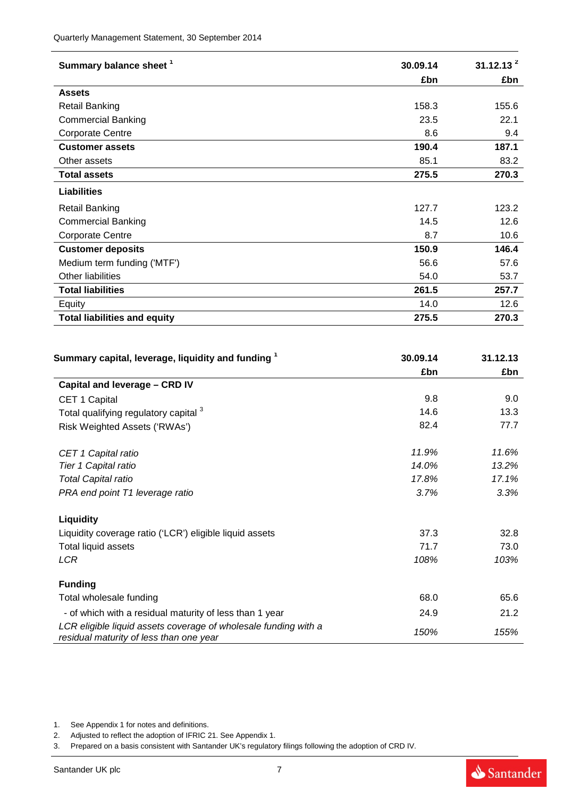| Summary balance sheet <sup>1</sup>  | 30.09.14 | 31.12.13 <sup>2</sup> |
|-------------------------------------|----------|-----------------------|
|                                     | £bn      | £bn                   |
| <b>Assets</b>                       |          |                       |
| <b>Retail Banking</b>               | 158.3    | 155.6                 |
| <b>Commercial Banking</b>           | 23.5     | 22.1                  |
| <b>Corporate Centre</b>             | 8.6      | 9.4                   |
| <b>Customer assets</b>              | 190.4    | 187.1                 |
| Other assets                        | 85.1     | 83.2                  |
| <b>Total assets</b>                 | 275.5    | 270.3                 |
| <b>Liabilities</b>                  |          |                       |
| <b>Retail Banking</b>               | 127.7    | 123.2                 |
| <b>Commercial Banking</b>           | 14.5     | 12.6                  |
| <b>Corporate Centre</b>             | 8.7      | 10.6                  |
| <b>Customer deposits</b>            | 150.9    | 146.4                 |
| Medium term funding ('MTF')         | 56.6     | 57.6                  |
| Other liabilities                   | 54.0     | 53.7                  |
| <b>Total liabilities</b>            | 261.5    | 257.7                 |
| Equity                              | 14.0     | 12.6                  |
| <b>Total liabilities and equity</b> | 275.5    | 270.3                 |

| Summary capital, leverage, liquidity and funding 1                                                         | 30.09.14 | 31.12.13 |
|------------------------------------------------------------------------------------------------------------|----------|----------|
|                                                                                                            | £bn      | £bn      |
| Capital and leverage - CRD IV                                                                              |          |          |
| CET 1 Capital                                                                                              | 9.8      | 9.0      |
| Total qualifying regulatory capital 3                                                                      | 14.6     | 13.3     |
| Risk Weighted Assets ('RWAs')                                                                              | 82.4     | 77.7     |
| CET 1 Capital ratio                                                                                        | 11.9%    | 11.6%    |
| Tier 1 Capital ratio                                                                                       | 14.0%    | 13.2%    |
| <b>Total Capital ratio</b>                                                                                 | 17.8%    | 17.1%    |
| PRA end point T1 leverage ratio                                                                            | 3.7%     | 3.3%     |
| <b>Liquidity</b>                                                                                           |          |          |
| Liquidity coverage ratio ('LCR') eligible liquid assets                                                    | 37.3     | 32.8     |
| Total liquid assets                                                                                        | 71.7     | 73.0     |
| <b>LCR</b>                                                                                                 | 108%     | 103%     |
| <b>Funding</b>                                                                                             |          |          |
| Total wholesale funding                                                                                    | 68.0     | 65.6     |
| - of which with a residual maturity of less than 1 year                                                    | 24.9     | 21.2     |
| LCR eligible liquid assets coverage of wholesale funding with a<br>residual maturity of less than one year | 150%     | 155%     |

1. See Appendix 1 for notes and definitions.

2. Adjusted to reflect the adoption of IFRIC 21. See Appendix 1.

3. Prepared on a basis consistent with Santander UK's regulatory filings following the adoption of CRD IV.

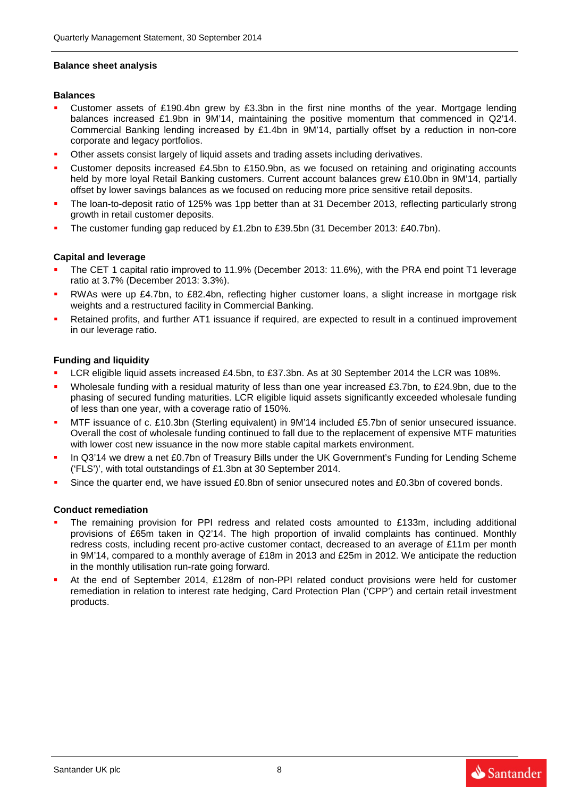#### **Balance sheet analysis**

#### **Balances**

- Customer assets of £190.4bn grew by £3.3bn in the first nine months of the year. Mortgage lending balances increased £1.9bn in 9M'14, maintaining the positive momentum that commenced in Q2'14. Commercial Banking lending increased by £1.4bn in 9M'14, partially offset by a reduction in non-core corporate and legacy portfolios.
- Other assets consist largely of liquid assets and trading assets including derivatives.
- Customer deposits increased £4.5bn to £150.9bn, as we focused on retaining and originating accounts held by more loyal Retail Banking customers. Current account balances grew £10.0bn in 9M'14, partially offset by lower savings balances as we focused on reducing more price sensitive retail deposits.
- The loan-to-deposit ratio of 125% was 1pp better than at 31 December 2013, reflecting particularly strong growth in retail customer deposits.
- The customer funding gap reduced by £1.2bn to £39.5bn (31 December 2013: £40.7bn).

### **Capital and leverage**

- The CET 1 capital ratio improved to 11.9% (December 2013: 11.6%), with the PRA end point T1 leverage ratio at 3.7% (December 2013: 3.3%).
- RWAs were up £4.7bn, to £82.4bn, reflecting higher customer loans, a slight increase in mortgage risk weights and a restructured facility in Commercial Banking.
- Retained profits, and further AT1 issuance if required, are expected to result in a continued improvement in our leverage ratio.

### **Funding and liquidity**

- LCR eligible liquid assets increased £4.5bn, to £37.3bn. As at 30 September 2014 the LCR was 108%.
- Wholesale funding with a residual maturity of less than one year increased £3.7bn, to £24.9bn, due to the phasing of secured funding maturities. LCR eligible liquid assets significantly exceeded wholesale funding of less than one year, with a coverage ratio of 150%.
- MTF issuance of c. £10.3bn (Sterling equivalent) in 9M'14 included £5.7bn of senior unsecured issuance. Overall the cost of wholesale funding continued to fall due to the replacement of expensive MTF maturities with lower cost new issuance in the now more stable capital markets environment.
- In Q3'14 we drew a net £0.7bn of Treasury Bills under the UK Government's Funding for Lending Scheme ('FLS')', with total outstandings of £1.3bn at 30 September 2014.
- Since the quarter end, we have issued £0.8bn of senior unsecured notes and £0.3bn of covered bonds.

#### **Conduct remediation**

- The remaining provision for PPI redress and related costs amounted to £133m, including additional provisions of £65m taken in Q2'14. The high proportion of invalid complaints has continued. Monthly redress costs, including recent pro-active customer contact, decreased to an average of £11m per month in 9M'14, compared to a monthly average of £18m in 2013 and £25m in 2012. We anticipate the reduction in the monthly utilisation run-rate going forward.
- At the end of September 2014, £128m of non-PPI related conduct provisions were held for customer remediation in relation to interest rate hedging, Card Protection Plan ('CPP') and certain retail investment products.

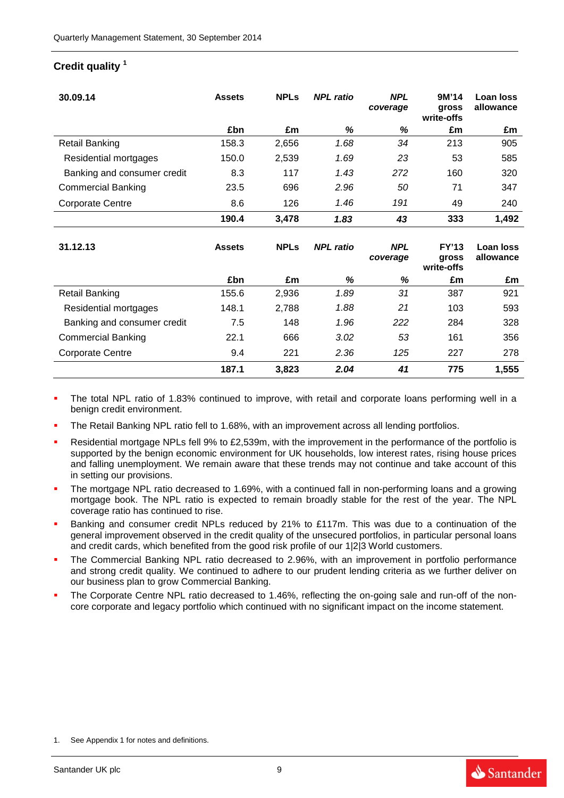## **Credit quality <sup>1</sup>**

| 30.09.14                    | <b>Assets</b> | <b>NPLs</b> | <b>NPL</b> ratio | <b>NPL</b><br>coverage | 9M'14<br><b>gross</b><br>write-offs | <b>Loan loss</b><br>allowance |
|-----------------------------|---------------|-------------|------------------|------------------------|-------------------------------------|-------------------------------|
|                             | £bn           | £m          | %                | %                      | £m                                  | £m                            |
| <b>Retail Banking</b>       | 158.3         | 2,656       | 1.68             | 34                     | 213                                 | 905                           |
| Residential mortgages       | 150.0         | 2,539       | 1.69             | 23                     | 53                                  | 585                           |
| Banking and consumer credit | 8.3           | 117         | 1.43             | 272                    | 160                                 | 320                           |
| <b>Commercial Banking</b>   | 23.5          | 696         | 2.96             | 50                     | 71                                  | 347                           |
| <b>Corporate Centre</b>     | 8.6           | 126         | 1.46             | 191                    | 49                                  | 240                           |
|                             | 190.4         | 3,478       | 1.83             | 43                     | 333                                 | 1,492                         |
| 31.12.13                    | <b>Assets</b> | <b>NPLs</b> | <b>NPL</b> ratio | <b>NPL</b><br>coverage | <b>FY'13</b><br>gross               | Loan loss<br>allowance        |
|                             |               |             |                  |                        | write-offs                          |                               |
|                             | £bn           | £m          | %                | %                      | £m                                  | £m                            |
| <b>Retail Banking</b>       | 155.6         | 2,936       | 1.89             | 31                     | 387                                 | 921                           |
| Residential mortgages       | 148.1         | 2,788       | 1.88             | 21                     | 103                                 | 593                           |
| Banking and consumer credit | 7.5           | 148         | 1.96             | 222                    | 284                                 | 328                           |
| <b>Commercial Banking</b>   | 22.1          | 666         | 3.02             | 53                     | 161                                 | 356                           |
| <b>Corporate Centre</b>     | 9.4           | 221         | 2.36             | 125                    | 227                                 | 278                           |

- The total NPL ratio of 1.83% continued to improve, with retail and corporate loans performing well in a benign credit environment.
- The Retail Banking NPL ratio fell to 1.68%, with an improvement across all lending portfolios.
- Residential mortgage NPLs fell 9% to £2,539m, with the improvement in the performance of the portfolio is supported by the benign economic environment for UK households, low interest rates, rising house prices and falling unemployment. We remain aware that these trends may not continue and take account of this in setting our provisions.
- The mortgage NPL ratio decreased to 1.69%, with a continued fall in non-performing loans and a growing mortgage book. The NPL ratio is expected to remain broadly stable for the rest of the year. The NPL coverage ratio has continued to rise.
- Banking and consumer credit NPLs reduced by 21% to £117m. This was due to a continuation of the general improvement observed in the credit quality of the unsecured portfolios, in particular personal loans and credit cards, which benefited from the good risk profile of our 1|2|3 World customers.
- The Commercial Banking NPL ratio decreased to 2.96%, with an improvement in portfolio performance and strong credit quality. We continued to adhere to our prudent lending criteria as we further deliver on our business plan to grow Commercial Banking.
- The Corporate Centre NPL ratio decreased to 1.46%, reflecting the on-going sale and run-off of the noncore corporate and legacy portfolio which continued with no significant impact on the income statement.

1. See Appendix 1 for notes and definitions.

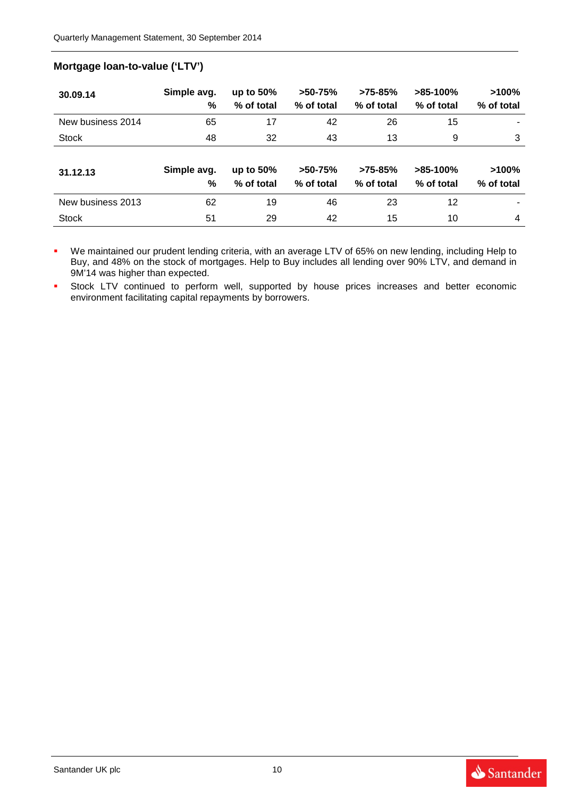## **Mortgage loan-to-value ('LTV')**

| 30.09.14          | Simple avg.<br>% | up to $50\%$<br>% of total | $>50-75%$<br>% of total | $>75-85%$<br>% of total | $>85-100%$<br>% of total | $>100\%$<br>% of total |
|-------------------|------------------|----------------------------|-------------------------|-------------------------|--------------------------|------------------------|
| New business 2014 | 65               | 17                         | 42                      | 26                      | 15                       |                        |
| <b>Stock</b>      | 48               | 32                         | 43                      | 13                      | 9                        | 3                      |
| 31.12.13          | Simple avg.<br>% | up to $50\%$<br>% of total | $>50-75%$<br>% of total | $>75-85%$<br>% of total | $>85-100%$<br>% of total | $>100\%$<br>% of total |
| New business 2013 | 62               | 19                         | 46                      | 23                      | 12                       |                        |
| <b>Stock</b>      | 51               | 29                         | 42                      | 15                      | 10                       | 4                      |

 We maintained our prudent lending criteria, with an average LTV of 65% on new lending, including Help to Buy, and 48% on the stock of mortgages. Help to Buy includes all lending over 90% LTV, and demand in 9M'14 was higher than expected.

**Stock LTV** continued to perform well, supported by house prices increases and better economic environment facilitating capital repayments by borrowers.

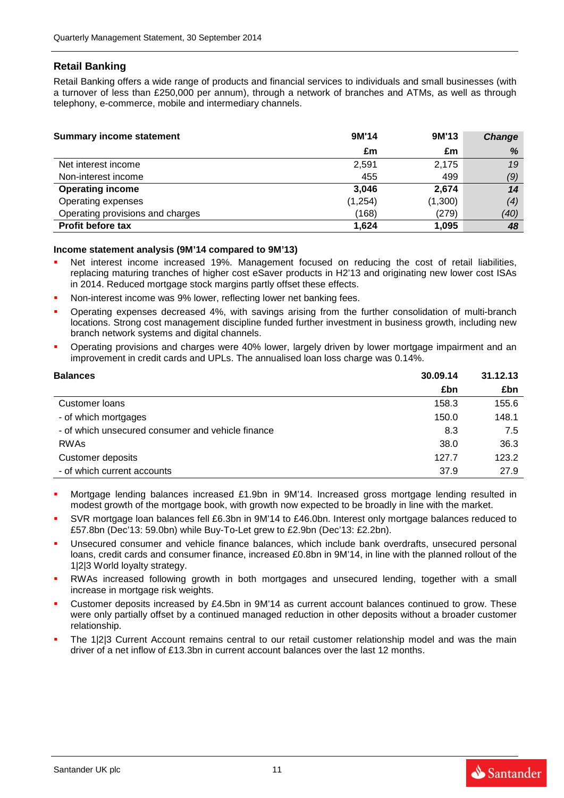## **Retail Banking**

Retail Banking offers a wide range of products and financial services to individuals and small businesses (with a turnover of less than £250,000 per annum), through a network of branches and ATMs, as well as through telephony, e-commerce, mobile and intermediary channels.

| <b>Summary income statement</b>  | 9M'14    | 9M'13   | Change |
|----------------------------------|----------|---------|--------|
|                                  | £m       | £m      | %      |
| Net interest income              | 2.591    | 2,175   | 19     |
| Non-interest income              | 455      | 499     | (9)    |
| <b>Operating income</b>          | 3,046    | 2,674   | 14     |
| Operating expenses               | (1, 254) | (1,300) | (4)    |
| Operating provisions and charges | (168)    | (279)   | (40)   |
| <b>Profit before tax</b>         | 1,624    | 1,095   | 48     |

#### **Income statement analysis (9M'14 compared to 9M'13)**

- Net interest income increased 19%. Management focused on reducing the cost of retail liabilities, replacing maturing tranches of higher cost eSaver products in H2'13 and originating new lower cost ISAs in 2014. Reduced mortgage stock margins partly offset these effects.
- Non-interest income was 9% lower, reflecting lower net banking fees.
- Operating expenses decreased 4%, with savings arising from the further consolidation of multi-branch locations. Strong cost management discipline funded further investment in business growth, including new branch network systems and digital channels.
- Operating provisions and charges were 40% lower, largely driven by lower mortgage impairment and an improvement in credit cards and UPLs. The annualised loan loss charge was 0.14%.

| <b>Balances</b>                                   | 30.09.14 | 31.12.13 |
|---------------------------------------------------|----------|----------|
|                                                   | £bn      | £bn      |
| Customer Ioans                                    | 158.3    | 155.6    |
| - of which mortgages                              | 150.0    | 148.1    |
| - of which unsecured consumer and vehicle finance | 8.3      | 7.5      |
| <b>RWAs</b>                                       | 38.0     | 36.3     |
| Customer deposits                                 | 127.7    | 123.2    |
| - of which current accounts                       | 37.9     | 27.9     |

- Mortgage lending balances increased £1.9bn in 9M'14. Increased gross mortgage lending resulted in modest growth of the mortgage book, with growth now expected to be broadly in line with the market.
- SVR mortgage loan balances fell £6.3bn in 9M'14 to £46.0bn. Interest only mortgage balances reduced to £57.8bn (Dec'13: 59.0bn) while Buy-To-Let grew to £2.9bn (Dec'13: £2.2bn).
- Unsecured consumer and vehicle finance balances, which include bank overdrafts, unsecured personal loans, credit cards and consumer finance, increased £0.8bn in 9M'14, in line with the planned rollout of the 1|2|3 World loyalty strategy.
- RWAs increased following growth in both mortgages and unsecured lending, together with a small increase in mortgage risk weights.
- Customer deposits increased by £4.5bn in 9M'14 as current account balances continued to grow. These were only partially offset by a continued managed reduction in other deposits without a broader customer relationship.
- The 1|2|3 Current Account remains central to our retail customer relationship model and was the main driver of a net inflow of £13.3bn in current account balances over the last 12 months.

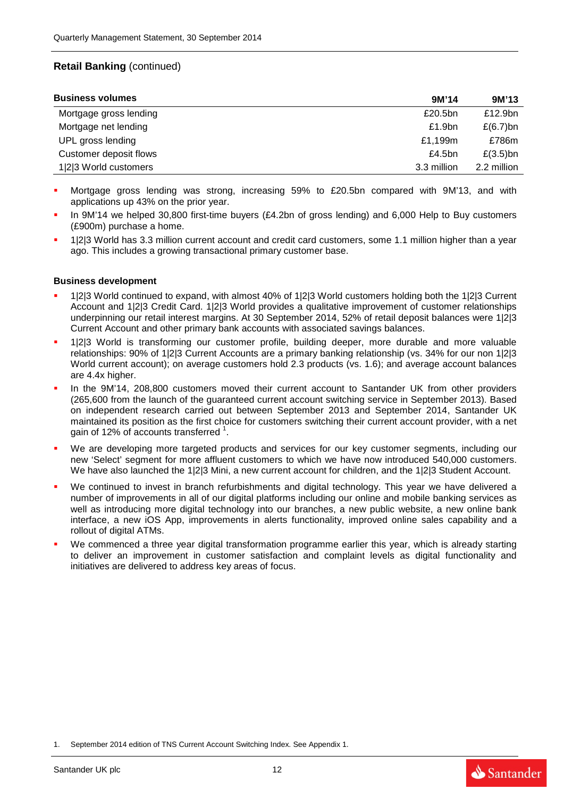## **Retail Banking** (continued)

| <b>Business volumes</b> | 9M'14              | 9M'13       |
|-------------------------|--------------------|-------------|
| Mortgage gross lending  | £20.5bn            | £12.9bn     |
| Mortgage net lending    | £1.9 <sub>bn</sub> | £(6.7)bn    |
| UPL gross lending       | £1,199m            | £786m       |
| Customer deposit flows  | £4.5 $bn$          | $£(3.5)$ bn |
| 1 2 3 World customers   | 3.3 million        | 2.2 million |

- Mortgage gross lending was strong, increasing 59% to £20.5bn compared with 9M'13, and with applications up 43% on the prior year.
- In 9M'14 we helped 30,800 first-time buyers (£4.2bn of gross lending) and 6,000 Help to Buy customers (£900m) purchase a home.
- 1|2|3 World has 3.3 million current account and credit card customers, some 1.1 million higher than a year ago. This includes a growing transactional primary customer base.

#### **Business development**

- 1|2|3 World continued to expand, with almost 40% of 1|2|3 World customers holding both the 1|2|3 Current Account and 1|2|3 Credit Card. 1|2|3 World provides a qualitative improvement of customer relationships underpinning our retail interest margins. At 30 September 2014, 52% of retail deposit balances were 1|2|3 Current Account and other primary bank accounts with associated savings balances.
- 1|2|3 World is transforming our customer profile, building deeper, more durable and more valuable relationships: 90% of 1|2|3 Current Accounts are a primary banking relationship (vs. 34% for our non 1|2|3 World current account); on average customers hold 2.3 products (vs. 1.6); and average account balances are 4.4x higher.
- In the 9M'14, 208,800 customers moved their current account to Santander UK from other providers (265,600 from the launch of the guaranteed current account switching service in September 2013). Based on independent research carried out between September 2013 and September 2014, Santander UK maintained its position as the first choice for customers switching their current account provider, with a net gain of 12% of accounts transferred  $1$ .
- We are developing more targeted products and services for our key customer segments, including our new 'Select' segment for more affluent customers to which we have now introduced 540,000 customers. We have also launched the 1|2|3 Mini, a new current account for children, and the 1|2|3 Student Account.
- We continued to invest in branch refurbishments and digital technology. This year we have delivered a number of improvements in all of our digital platforms including our online and mobile banking services as well as introducing more digital technology into our branches, a new public website, a new online bank interface, a new iOS App, improvements in alerts functionality, improved online sales capability and a rollout of digital ATMs.
- We commenced a three year digital transformation programme earlier this year, which is already starting to deliver an improvement in customer satisfaction and complaint levels as digital functionality and initiatives are delivered to address key areas of focus.



<sup>1.</sup> September 2014 edition of TNS Current Account Switching Index. See Appendix 1.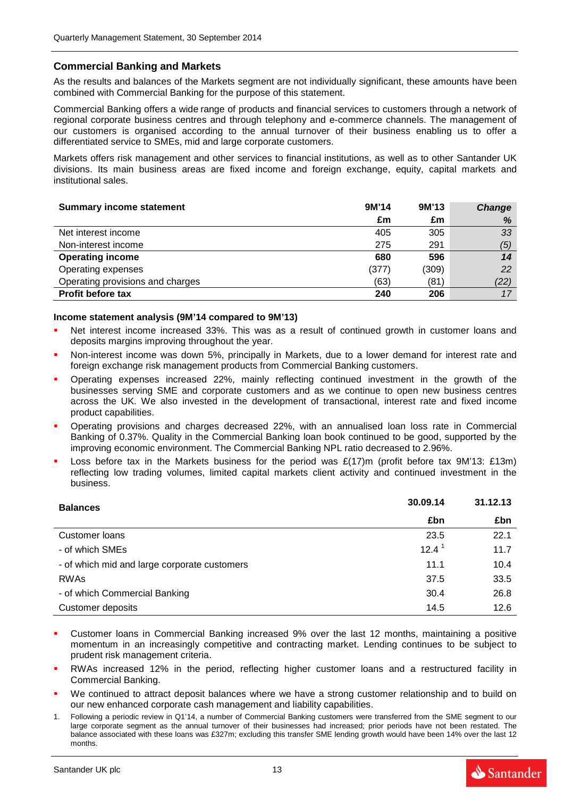### **Commercial Banking and Markets**

As the results and balances of the Markets segment are not individually significant, these amounts have been combined with Commercial Banking for the purpose of this statement.

Commercial Banking offers a wide range of products and financial services to customers through a network of regional corporate business centres and through telephony and e-commerce channels. The management of our customers is organised according to the annual turnover of their business enabling us to offer a differentiated service to SMEs, mid and large corporate customers.

Markets offers risk management and other services to financial institutions, as well as to other Santander UK divisions. Its main business areas are fixed income and foreign exchange, equity, capital markets and institutional sales.

| <b>Summary income statement</b>  | 9M'14 | 9M'13 | Change |
|----------------------------------|-------|-------|--------|
|                                  | £m    | £m    | %      |
| Net interest income              | 405   | 305   | 33     |
| Non-interest income              | 275   | 291   | (5)    |
| <b>Operating income</b>          | 680   | 596   | 14     |
| Operating expenses               | (377) | (309) | 22     |
| Operating provisions and charges | (63)  | (81)  | (22)   |
| <b>Profit before tax</b>         | 240   | 206   | 17     |

#### **Income statement analysis (9M'14 compared to 9M'13)**

- Net interest income increased 33%. This was as a result of continued growth in customer loans and deposits margins improving throughout the year.
- Non-interest income was down 5%, principally in Markets, due to a lower demand for interest rate and foreign exchange risk management products from Commercial Banking customers.
- Operating expenses increased 22%, mainly reflecting continued investment in the growth of the businesses serving SME and corporate customers and as we continue to open new business centres across the UK. We also invested in the development of transactional, interest rate and fixed income product capabilities.
- Operating provisions and charges decreased 22%, with an annualised loan loss rate in Commercial Banking of 0.37%. Quality in the Commercial Banking loan book continued to be good, supported by the improving economic environment. The Commercial Banking NPL ratio decreased to 2.96%.
- Loss before tax in the Markets business for the period was £(17)m (profit before tax 9M'13: £13m) reflecting low trading volumes, limited capital markets client activity and continued investment in the business.

| <b>Balances</b>                              | 30.09.14          | 31.12.13 |
|----------------------------------------------|-------------------|----------|
|                                              | £bn               | £bn      |
| Customer loans                               | 23.5              | 22.1     |
| - of which SMEs                              | $12.4^{\text{1}}$ | 11.7     |
| - of which mid and large corporate customers | 11.1              | 10.4     |
| <b>RWAs</b>                                  | 37.5              | 33.5     |
| - of which Commercial Banking                | 30.4              | 26.8     |
| Customer deposits                            | 14.5              | 12.6     |

- Customer loans in Commercial Banking increased 9% over the last 12 months, maintaining a positive momentum in an increasingly competitive and contracting market. Lending continues to be subject to prudent risk management criteria.
- RWAs increased 12% in the period, reflecting higher customer loans and a restructured facility in Commercial Banking.
- We continued to attract deposit balances where we have a strong customer relationship and to build on our new enhanced corporate cash management and liability capabilities.
- 1. Following a periodic review in Q1'14, a number of Commercial Banking customers were transferred from the SME segment to our large corporate segment as the annual turnover of their businesses had increased; prior periods have not been restated. The balance associated with these loans was £327m; excluding this transfer SME lending growth would have been 14% over the last 12 months.

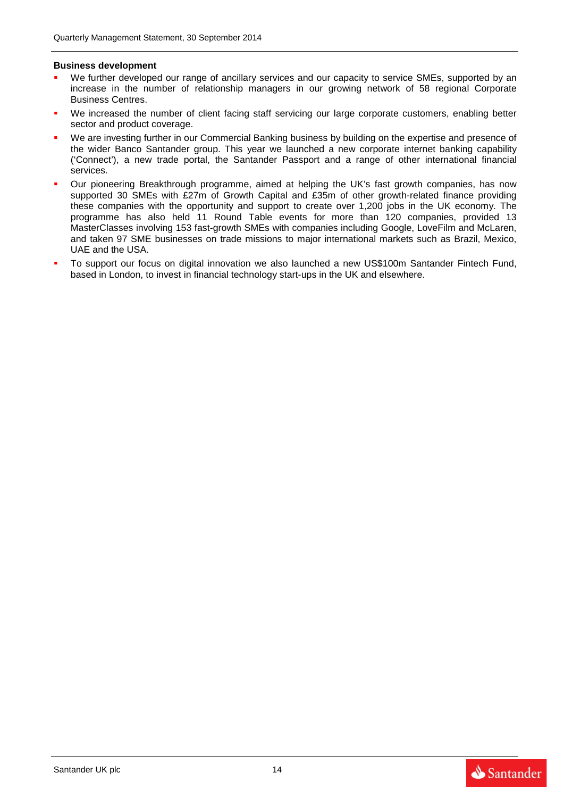#### **Business development**

- We further developed our range of ancillary services and our capacity to service SMEs, supported by an increase in the number of relationship managers in our growing network of 58 regional Corporate Business Centres.
- We increased the number of client facing staff servicing our large corporate customers, enabling better sector and product coverage.
- We are investing further in our Commercial Banking business by building on the expertise and presence of the wider Banco Santander group. This year we launched a new corporate internet banking capability ('Connect'), a new trade portal, the Santander Passport and a range of other international financial services.
- Our pioneering Breakthrough programme, aimed at helping the UK's fast growth companies, has now supported 30 SMEs with £27m of Growth Capital and £35m of other growth-related finance providing these companies with the opportunity and support to create over 1,200 jobs in the UK economy. The programme has also held 11 Round Table events for more than 120 companies, provided 13 MasterClasses involving 153 fast-growth SMEs with companies including Google, LoveFilm and McLaren, and taken 97 SME businesses on trade missions to major international markets such as Brazil, Mexico, UAE and the USA.
- To support our focus on digital innovation we also launched a new US\$100m Santander Fintech Fund, based in London, to invest in financial technology start-ups in the UK and elsewhere.

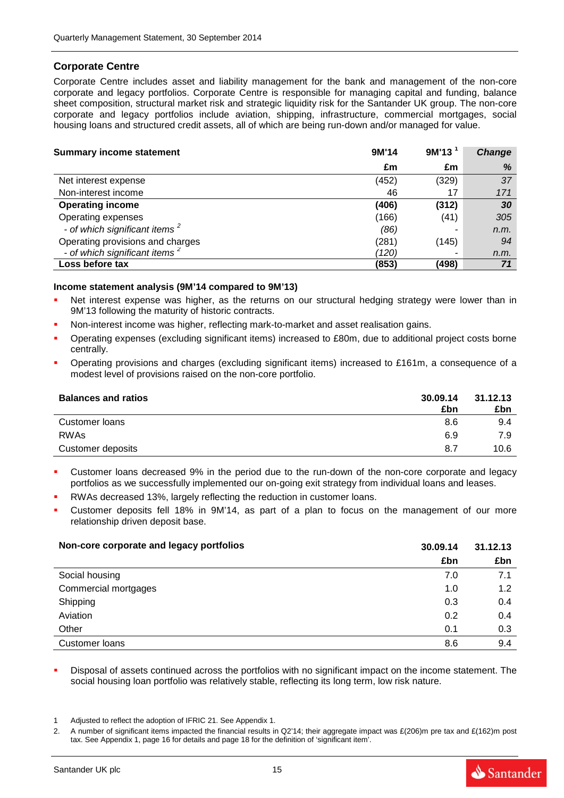### **Corporate Centre**

Corporate Centre includes asset and liability management for the bank and management of the non-core corporate and legacy portfolios. Corporate Centre is responsible for managing capital and funding, balance sheet composition, structural market risk and strategic liquidity risk for the Santander UK group. The non-core corporate and legacy portfolios include aviation, shipping, infrastructure, commercial mortgages, social housing loans and structured credit assets, all of which are being run-down and/or managed for value.

| <b>Summary income statement</b>           | 9M'14 | 9M'13 | Change |
|-------------------------------------------|-------|-------|--------|
|                                           | £m    | £m    | %      |
| Net interest expense                      | (452) | (329) | 37     |
| Non-interest income                       | 46    | 17    | 171    |
| <b>Operating income</b>                   | (406) | (312) | 30     |
| Operating expenses                        | (166) | (41)  | 305    |
| - of which significant items <sup>2</sup> | (86)  |       | n.m.   |
| Operating provisions and charges          | (281) | (145) | 94     |
| - of which significant items <sup>2</sup> | (120) | -     | n.m.   |
| Loss before tax                           | (853) | (498) | 71     |

#### **Income statement analysis (9M'14 compared to 9M'13)**

- Net interest expense was higher, as the returns on our structural hedging strategy were lower than in 9M'13 following the maturity of historic contracts.
- Non-interest income was higher, reflecting mark-to-market and asset realisation gains.
- Operating expenses (excluding significant items) increased to £80m, due to additional project costs borne centrally.
- Operating provisions and charges (excluding significant items) increased to £161m, a consequence of a modest level of provisions raised on the non-core portfolio.

| <b>Balances and ratios</b> | 30.09.14<br>£bn | 31.12.13<br>£bn |
|----------------------------|-----------------|-----------------|
| Customer loans             | 8.6             | 9.4             |
| <b>RWAs</b>                | 6.9             | 7.9             |
| Customer deposits          | 8.7             | 10.6            |

- Customer loans decreased 9% in the period due to the run-down of the non-core corporate and legacy portfolios as we successfully implemented our on-going exit strategy from individual loans and leases.
- RWAs decreased 13%, largely reflecting the reduction in customer loans.
- Customer deposits fell 18% in 9M'14, as part of a plan to focus on the management of our more relationship driven deposit base.

| Non-core corporate and legacy portfolios | 30.09.14 | 31.12.13 |
|------------------------------------------|----------|----------|
|                                          | £bn      | £bn      |
| Social housing                           | 7.0      | 7.1      |
| Commercial mortgages                     | 1.0      | 1.2      |
| Shipping                                 | 0.3      | 0.4      |
| Aviation                                 | 0.2      | 0.4      |
| Other                                    | 0.1      | 0.3      |
| Customer loans                           | 8.6      | 9.4      |

 Disposal of assets continued across the portfolios with no significant impact on the income statement. The social housing loan portfolio was relatively stable, reflecting its long term, low risk nature.

- 1 Adjusted to reflect the adoption of IFRIC 21. See Appendix 1.
- A number of significant items impacted the financial results in Q2'14; their aggregate impact was  $E(206)$ m pre tax and  $E(162)$ m post tax. See Appendix 1, page 16 for details and page 18 for the definition of 'significant item'.

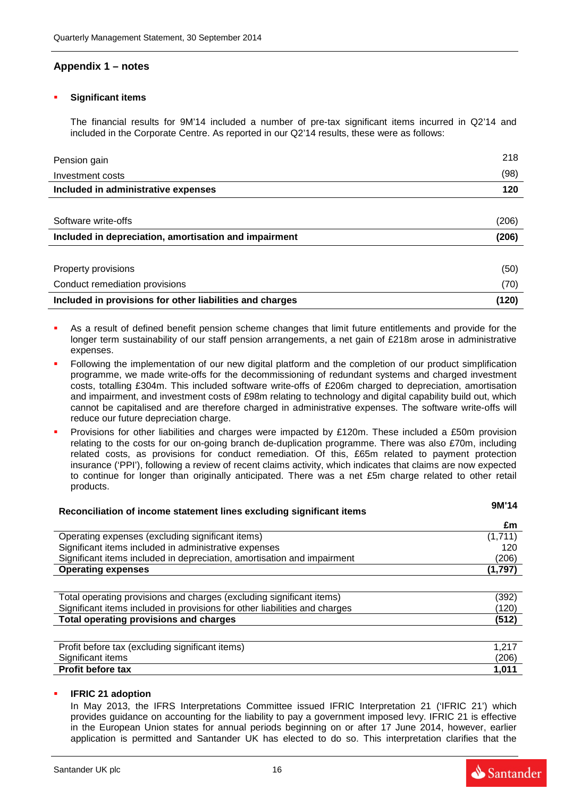## **Appendix 1 – notes**

#### **Significant items**

The financial results for 9M'14 included a number of pre-tax significant items incurred in Q2'14 and included in the Corporate Centre. As reported in our Q2'14 results, these were as follows:

| Pension gain                                             | 218   |
|----------------------------------------------------------|-------|
| Investment costs                                         | (98)  |
| Included in administrative expenses                      | 120   |
|                                                          |       |
| Software write-offs                                      | (206) |
| Included in depreciation, amortisation and impairment    | (206) |
|                                                          |       |
| Property provisions                                      | (50)  |
| Conduct remediation provisions                           | (70)  |
| Included in provisions for other liabilities and charges | (120) |

- As a result of defined benefit pension scheme changes that limit future entitlements and provide for the longer term sustainability of our staff pension arrangements, a net gain of £218m arose in administrative expenses.
- Following the implementation of our new digital platform and the completion of our product simplification programme, we made write-offs for the decommissioning of redundant systems and charged investment costs, totalling £304m. This included software write-offs of £206m charged to depreciation, amortisation and impairment, and investment costs of £98m relating to technology and digital capability build out, which cannot be capitalised and are therefore charged in administrative expenses. The software write-offs will reduce our future depreciation charge.
- Provisions for other liabilities and charges were impacted by £120m. These included a £50m provision relating to the costs for our on-going branch de-duplication programme. There was also £70m, including related costs, as provisions for conduct remediation. Of this, £65m related to payment protection insurance ('PPI'), following a review of recent claims activity, which indicates that claims are now expected to continue for longer than originally anticipated. There was a net £5m charge related to other retail products.

| Reconciliation of income statement lines excluding significant items       | 9M'14   |
|----------------------------------------------------------------------------|---------|
|                                                                            | £m      |
| Operating expenses (excluding significant items)                           | (1,711) |
| Significant items included in administrative expenses                      | 120     |
| Significant items included in depreciation, amortisation and impairment    | (206)   |
| <b>Operating expenses</b>                                                  | (1,797) |
|                                                                            |         |
| Total operating provisions and charges (excluding significant items)       | (392)   |
| Significant items included in provisions for other liabilities and charges | (120)   |
| Total operating provisions and charges                                     | (512)   |
|                                                                            |         |
| Profit before tax (excluding significant items)                            | 1,217   |
| Significant items                                                          | (206)   |
| <b>Profit before tax</b>                                                   | 1,011   |
|                                                                            |         |

#### **IFRIC 21 adoption**

In May 2013, the IFRS Interpretations Committee issued IFRIC Interpretation 21 ('IFRIC 21') which provides guidance on accounting for the liability to pay a government imposed levy. IFRIC 21 is effective in the European Union states for annual periods beginning on or after 17 June 2014, however, earlier application is permitted and Santander UK has elected to do so. This interpretation clarifies that the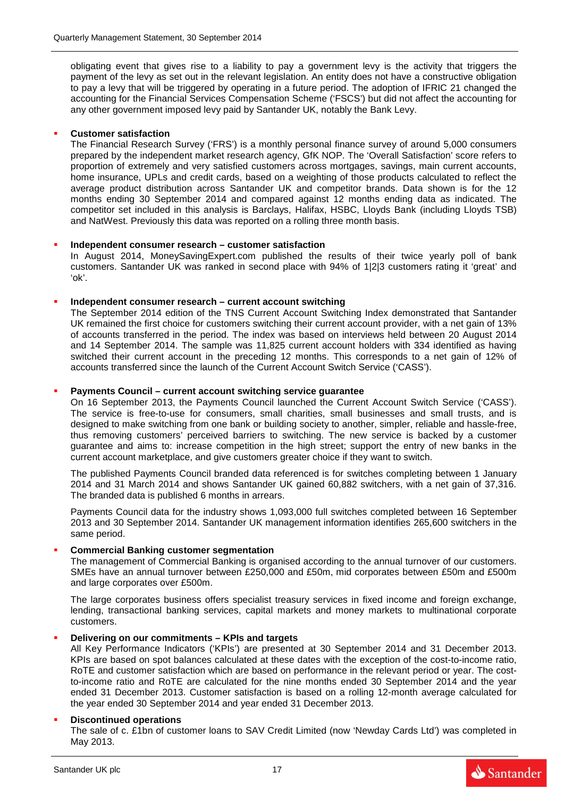obligating event that gives rise to a liability to pay a government levy is the activity that triggers the payment of the levy as set out in the relevant legislation. An entity does not have a constructive obligation to pay a levy that will be triggered by operating in a future period. The adoption of IFRIC 21 changed the accounting for the Financial Services Compensation Scheme ('FSCS') but did not affect the accounting for any other government imposed levy paid by Santander UK, notably the Bank Levy.

#### **Customer satisfaction**

The Financial Research Survey ('FRS') is a monthly personal finance survey of around 5,000 consumers prepared by the independent market research agency, GfK NOP. The 'Overall Satisfaction' score refers to proportion of extremely and very satisfied customers across mortgages, savings, main current accounts, home insurance, UPLs and credit cards, based on a weighting of those products calculated to reflect the average product distribution across Santander UK and competitor brands. Data shown is for the 12 months ending 30 September 2014 and compared against 12 months ending data as indicated. The competitor set included in this analysis is Barclays, Halifax, HSBC, Lloyds Bank (including Lloyds TSB) and NatWest. Previously this data was reported on a rolling three month basis.

#### **Independent consumer research – customer satisfaction**

In August 2014, MoneySavingExpert.com published the results of their twice yearly poll of bank customers. Santander UK was ranked in second place with 94% of 1|2|3 customers rating it 'great' and 'ok'.

### **Independent consumer research – current account switching**

The September 2014 edition of the TNS Current Account Switching Index demonstrated that Santander UK remained the first choice for customers switching their current account provider, with a net gain of 13% of accounts transferred in the period. The index was based on interviews held between 20 August 2014 and 14 September 2014. The sample was 11,825 current account holders with 334 identified as having switched their current account in the preceding 12 months. This corresponds to a net gain of 12% of accounts transferred since the launch of the Current Account Switch Service ('CASS').

### **Payments Council – current account switching service guarantee**

On 16 September 2013, the Payments Council launched the Current Account Switch Service ('CASS'). The service is free-to-use for consumers, small charities, small businesses and small trusts, and is designed to make switching from one bank or building society to another, simpler, reliable and hassle-free, thus removing customers' perceived barriers to switching. The new service is backed by a customer guarantee and aims to: increase competition in the high street; support the entry of new banks in the current account marketplace, and give customers greater choice if they want to switch.

The published Payments Council branded data referenced is for switches completing between 1 January 2014 and 31 March 2014 and shows Santander UK gained 60,882 switchers, with a net gain of 37,316. The branded data is published 6 months in arrears.

Payments Council data for the industry shows 1,093,000 full switches completed between 16 September 2013 and 30 September 2014. Santander UK management information identifies 265,600 switchers in the same period.

#### **Commercial Banking customer segmentation**

The management of Commercial Banking is organised according to the annual turnover of our customers. SMEs have an annual turnover between £250,000 and £50m, mid corporates between £50m and £500m and large corporates over £500m.

The large corporates business offers specialist treasury services in fixed income and foreign exchange, lending, transactional banking services, capital markets and money markets to multinational corporate customers.

#### **Delivering on our commitments – KPIs and targets**

All Key Performance Indicators ('KPIs') are presented at 30 September 2014 and 31 December 2013. KPIs are based on spot balances calculated at these dates with the exception of the cost-to-income ratio, RoTE and customer satisfaction which are based on performance in the relevant period or year. The costto-income ratio and RoTE are calculated for the nine months ended 30 September 2014 and the year ended 31 December 2013. Customer satisfaction is based on a rolling 12-month average calculated for the year ended 30 September 2014 and year ended 31 December 2013.

#### **Discontinued operations**

The sale of c. £1bn of customer loans to SAV Credit Limited (now 'Newday Cards Ltd') was completed in May 2013.

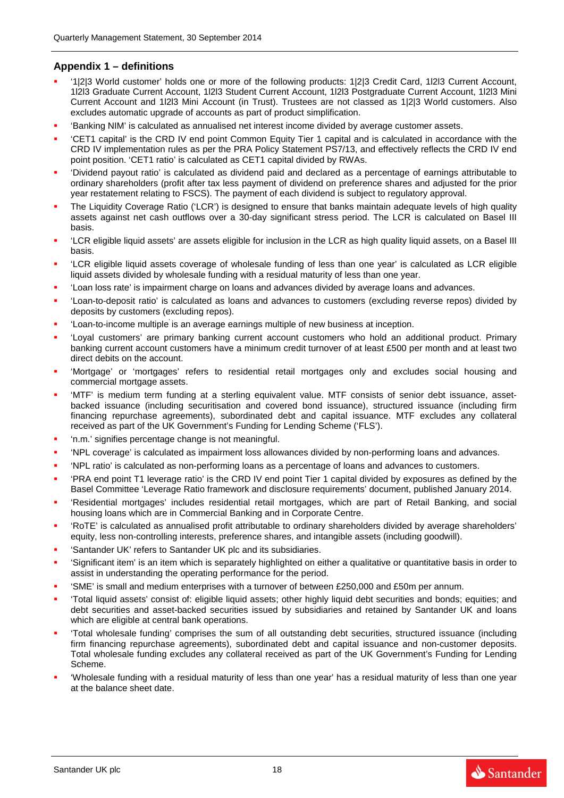## **Appendix 1 – definitions**

- '1|2|3 World customer' holds one or more of the following products: 1|2|3 Credit Card, 1l2l3 Current Account, 1l2l3 Graduate Current Account, 1l2l3 Student Current Account, 1l2l3 Postgraduate Current Account, 1l2l3 Mini Current Account and 1l2l3 Mini Account (in Trust). Trustees are not classed as 1|2|3 World customers. Also excludes automatic upgrade of accounts as part of product simplification.
- 'Banking NIM' is calculated as annualised net interest income divided by average customer assets.
- 'CET1 capital' is the CRD IV end point Common Equity Tier 1 capital and is calculated in accordance with the CRD IV implementation rules as per the PRA Policy Statement PS7/13, and effectively reflects the CRD IV end point position. 'CET1 ratio' is calculated as CET1 capital divided by RWAs.
- 'Dividend payout ratio' is calculated as dividend paid and declared as a percentage of earnings attributable to ordinary shareholders (profit after tax less payment of dividend on preference shares and adjusted for the prior year restatement relating to FSCS). The payment of each dividend is subject to regulatory approval.
- The Liquidity Coverage Ratio ('LCR') is designed to ensure that banks maintain adequate levels of high quality assets against net cash outflows over a 30-day significant stress period. The LCR is calculated on Basel III basis.
- 'LCR eligible liquid assets' are assets eligible for inclusion in the LCR as high quality liquid assets, on a Basel III basis.
- 'LCR eligible liquid assets coverage of wholesale funding of less than one year' is calculated as LCR eligible liquid assets divided by wholesale funding with a residual maturity of less than one year.
- 'Loan loss rate' is impairment charge on loans and advances divided by average loans and advances.
- 'Loan-to-deposit ratio' is calculated as loans and advances to customers (excluding reverse repos) divided by deposits by customers (excluding repos).
- 'Loan-to-income multiple' is an average earnings multiple of new business at inception.
- 'Loyal customers' are primary banking current account customers who hold an additional product. Primary banking current account customers have a minimum credit turnover of at least £500 per month and at least two direct debits on the account.
- 'Mortgage' or 'mortgages' refers to residential retail mortgages only and excludes social housing and commercial mortgage assets.
- 'MTF' is medium term funding at a sterling equivalent value. MTF consists of senior debt issuance, assetbacked issuance (including securitisation and covered bond issuance), structured issuance (including firm financing repurchase agreements), subordinated debt and capital issuance. MTF excludes any collateral received as part of the UK Government's Funding for Lending Scheme ('FLS').
- 'n.m.' signifies percentage change is not meaningful.
- 'NPL coverage' is calculated as impairment loss allowances divided by non-performing loans and advances.
- 'NPL ratio' is calculated as non-performing loans as a percentage of loans and advances to customers.
- 'PRA end point T1 leverage ratio' is the CRD IV end point Tier 1 capital divided by exposures as defined by the Basel Committee 'Leverage Ratio framework and disclosure requirements' document, published January 2014.
- 'Residential mortgages' includes residential retail mortgages, which are part of Retail Banking, and social housing loans which are in Commercial Banking and in Corporate Centre.
- 'RoTE' is calculated as annualised profit attributable to ordinary shareholders divided by average shareholders' equity, less non-controlling interests, preference shares, and intangible assets (including goodwill).
- 'Santander UK' refers to Santander UK plc and its subsidiaries.
- 'Significant item' is an item which is separately highlighted on either a qualitative or quantitative basis in order to assist in understanding the operating performance for the period.
- 'SME' is small and medium enterprises with a turnover of between £250,000 and £50m per annum.
- 'Total liquid assets' consist of: eligible liquid assets; other highly liquid debt securities and bonds; equities; and debt securities and asset-backed securities issued by subsidiaries and retained by Santander UK and loans which are eligible at central bank operations.
- 'Total wholesale funding' comprises the sum of all outstanding debt securities, structured issuance (including firm financing repurchase agreements), subordinated debt and capital issuance and non-customer deposits. Total wholesale funding excludes any collateral received as part of the UK Government's Funding for Lending Scheme.
- 'Wholesale funding with a residual maturity of less than one year' has a residual maturity of less than one year at the balance sheet date.

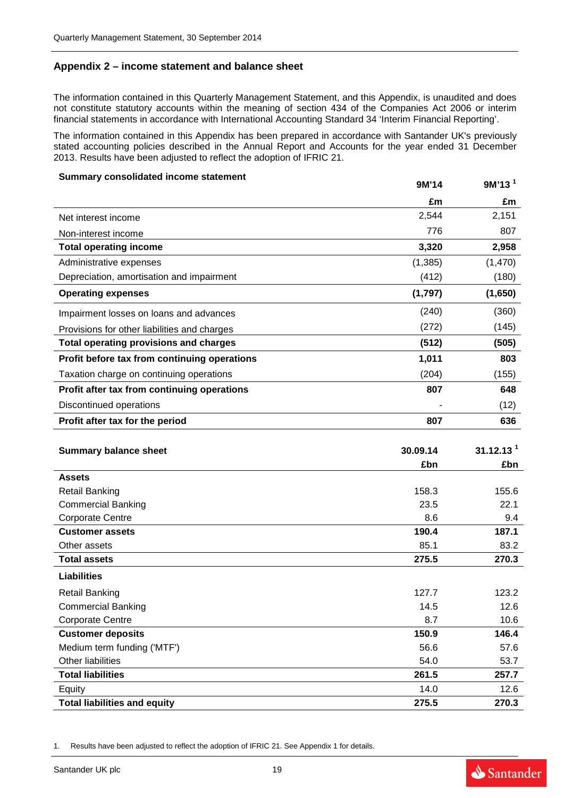## **Appendix 2 – income statement and balance sheet**

The information contained in this Quarterly Management Statement, and this Appendix, is unaudited and does not constitute statutory accounts within the meaning of section 434 of the Companies Act 2006 or interim financial statements in accordance with International Accounting Standard 34 'Interim Financial Reporting'.

The information contained in this Appendix has been prepared in accordance with Santander UK's previously stated accounting policies described in the Annual Report and Accounts for the year ended 31 December 2013. Results have been adjusted to reflect the adoption of IFRIC 21.

#### **Summary consolidated income statement**

| Summary consolidated income statement         | 9M'14    | 9M'13 <sup>1</sup> |
|-----------------------------------------------|----------|--------------------|
|                                               | £m       | £m                 |
| Net interest income                           | 2,544    | 2,151              |
| Non-interest income                           | 776      | 807                |
| <b>Total operating income</b>                 | 3,320    | 2,958              |
| Administrative expenses                       | (1, 385) | (1,470)            |
| Depreciation, amortisation and impairment     | (412)    | (180)              |
| <b>Operating expenses</b>                     | (1,797)  | (1,650)            |
| Impairment losses on loans and advances       | (240)    | (360)              |
| Provisions for other liabilities and charges  | (272)    | (145)              |
| <b>Total operating provisions and charges</b> | (512)    | (505)              |
| Profit before tax from continuing operations  | 1,011    | 803                |
| Taxation charge on continuing operations      | (204)    | (155)              |
| Profit after tax from continuing operations   | 807      | 648                |
| Discontinued operations                       |          | (12)               |
| Profit after tax for the period               | 807      | 636                |

| <b>Summary balance sheet</b>        | 30.09.14 | 31.12.13 <sup>1</sup> |
|-------------------------------------|----------|-----------------------|
|                                     | £bn      | £bn                   |
| <b>Assets</b>                       |          |                       |
| <b>Retail Banking</b>               | 158.3    | 155.6                 |
| <b>Commercial Banking</b>           | 23.5     | 22.1                  |
| <b>Corporate Centre</b>             | 8.6      | 9.4                   |
| <b>Customer assets</b>              | 190.4    | 187.1                 |
| Other assets                        | 85.1     | 83.2                  |
| <b>Total assets</b>                 | 275.5    | 270.3                 |
| <b>Liabilities</b>                  |          |                       |
| <b>Retail Banking</b>               | 127.7    | 123.2                 |
| <b>Commercial Banking</b>           | 14.5     | 12.6                  |
| <b>Corporate Centre</b>             | 8.7      | 10.6                  |
| <b>Customer deposits</b>            | 150.9    | 146.4                 |
| Medium term funding ('MTF')         | 56.6     | 57.6                  |
| Other liabilities                   | 54.0     | 53.7                  |
| <b>Total liabilities</b>            | 261.5    | 257.7                 |
| Equity                              | 14.0     | 12.6                  |
| <b>Total liabilities and equity</b> | 275.5    | 270.3                 |

1. Results have been adjusted to reflect the adoption of IFRIC 21. See Appendix 1 for details.